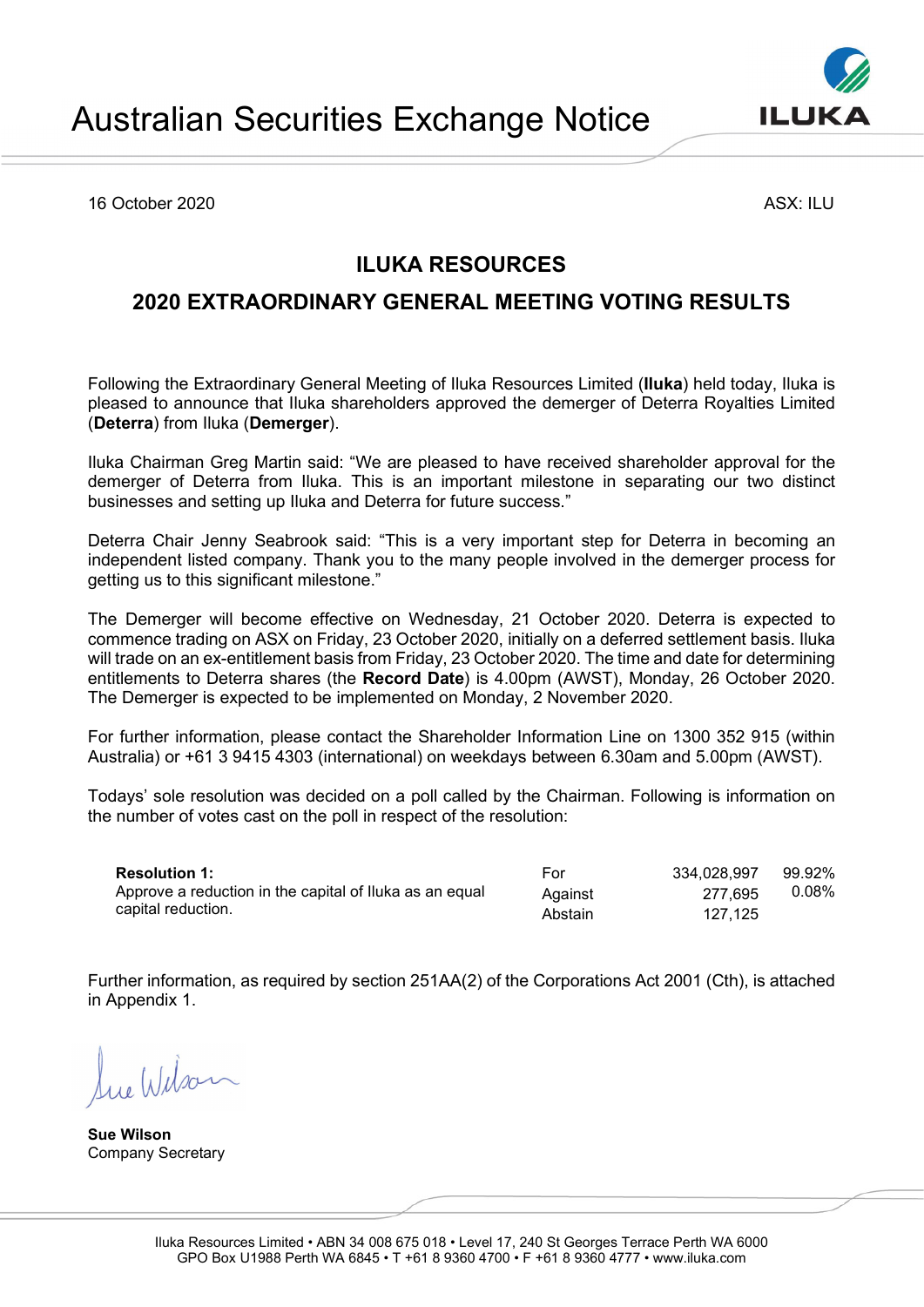16 October 2020 ASX: ILU

## ILUKA RESOURCES

## 2020 EXTRAORDINARY GENERAL MEETING VOTING RESULTS

Following the Extraordinary General Meeting of Iluka Resources Limited (Iluka) held today, Iluka is pleased to announce that Iluka shareholders approved the demerger of Deterra Royalties Limited (Deterra) from Iluka (Demerger).

Iluka Chairman Greg Martin said: "We are pleased to have received shareholder approval for the demerger of Deterra from Iluka. This is an important milestone in separating our two distinct businesses and setting up Iluka and Deterra for future success."

Deterra Chair Jenny Seabrook said: "This is a very important step for Deterra in becoming an independent listed company. Thank you to the many people involved in the demerger process for getting us to this significant milestone."

The Demerger will become effective on Wednesday, 21 October 2020. Deterra is expected to commence trading on ASX on Friday, 23 October 2020, initially on a deferred settlement basis. Iluka will trade on an ex-entitlement basis from Friday, 23 October 2020. The time and date for determining entitlements to Deterra shares (the Record Date) is 4.00pm (AWST), Monday, 26 October 2020. The Demerger is expected to be implemented on Monday, 2 November 2020.

For further information, please contact the Shareholder Information Line on 1300 352 915 (within Australia) or +61 3 9415 4303 (international) on weekdays between 6.30am and 5.00pm (AWST).

Todays' sole resolution was decided on a poll called by the Chairman. Following is information on the number of votes cast on the poll in respect of the resolution:

Resolution 1: Approve a reduction in the capital of Iluka as an equal capital reduction.

Abstain 127,125

334,028,997 277,695 99.92% 0.08%

For Against

Further information, as required by section 251AA(2) of the Corporations Act 2001 (Cth), is attached in Appendix 1.

Sue Wilson Company Secretary

Sue Wilson